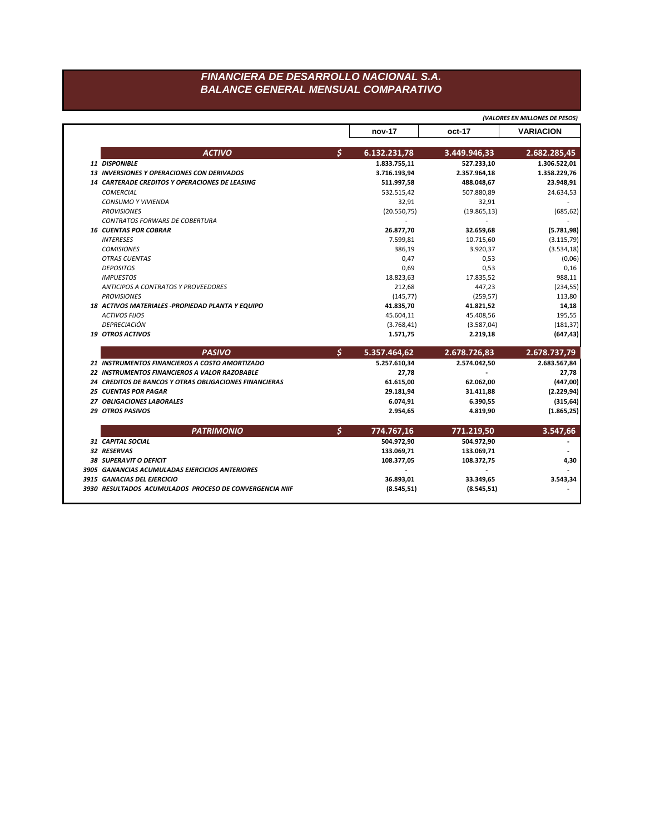## FINANCIERA DE DESARROLLO NACIONAL S.A. **BALANCE GENERAL MENSUAL COMPARATIVO**

|                                                        |     | (VALORES EN MILLONES DE PESOS) |              |                                                          |  |
|--------------------------------------------------------|-----|--------------------------------|--------------|----------------------------------------------------------|--|
|                                                        |     | nov-17                         | oct-17       | <b>VARIACION</b>                                         |  |
| <b>ACTIVO</b>                                          | \$. | 6.132.231,78                   | 3.449.946,33 | 2.682.285,45                                             |  |
| 11 DISPONIBLE                                          |     | 1.833.755,11                   | 527.233,10   | 1.306.522,01                                             |  |
| <b>13 INVERSIONES Y OPERACIONES CON DERIVADOS</b>      |     | 3.716.193,94                   | 2.357.964,18 | 1.358.229,76                                             |  |
| <b>14 CARTERADE CREDITOS Y OPERACIONES DE LEASING</b>  |     | 511.997,58                     | 488.048,67   | 23.948,91                                                |  |
| <b>COMERCIAL</b>                                       |     | 532.515,42                     | 507.880,89   | 24.634,53                                                |  |
| <b>CONSUMO Y VIVIENDA</b>                              |     | 32,91                          | 32,91        |                                                          |  |
| <b>PROVISIONES</b>                                     |     | (20.550, 75)                   | (19.865, 13) | (685, 62)                                                |  |
| <b>CONTRATOS FORWARS DE COBERTURA</b>                  |     | $\overline{\phantom{a}}$       |              |                                                          |  |
| <b>16 CUENTAS POR COBRAR</b>                           |     | 26.877,70                      | 32.659,68    | (5.781, 98)                                              |  |
| <b>INTERESES</b>                                       |     | 7.599,81                       | 10.715,60    | (3.115, 79)                                              |  |
| <b>COMISIONES</b>                                      |     | 386,19                         | 3.920,37     | (3.534, 18)                                              |  |
| <b>OTRAS CUENTAS</b>                                   |     | 0,47                           | 0,53         | (0,06)                                                   |  |
| <b>DEPOSITOS</b>                                       |     | 0,69                           | 0,53         | 0,16                                                     |  |
| <b>IMPUESTOS</b>                                       |     | 18.823,63                      | 17.835,52    | 988,11                                                   |  |
| <b>ANTICIPOS A CONTRATOS Y PROVEEDORES</b>             |     | 212,68                         | 447,23       | (234, 55)                                                |  |
| <b>PROVISIONES</b>                                     |     | (145, 77)                      | (259, 57)    | 113,80                                                   |  |
| 18 ACTIVOS MATERIALES - PROPIEDAD PLANTA Y EQUIPO      |     | 41.835,70                      | 41.821,52    | 14,18                                                    |  |
| <b>ACTIVOS FIJOS</b>                                   |     | 45.604,11                      | 45.408,56    | 195,55                                                   |  |
| <b>DEPRECIACIÓN</b>                                    |     | (3.768, 41)                    | (3.587,04)   | (181, 37)                                                |  |
| <b>19 OTROS ACTIVOS</b>                                |     | 1.571,75                       | 2.219,18     | (647, 43)                                                |  |
| <b>PASIVO</b>                                          | \$  | 5.357.464,62                   | 2.678.726,83 | 2.678.737,79                                             |  |
| 21 INSTRUMENTOS FINANCIEROS A COSTO AMORTIZADO         |     | 5.257.610,34                   | 2.574.042.50 | 2.683.567,84                                             |  |
| 22 INSTRUMENTOS FINANCIEROS A VALOR RAZOBABLE          |     | 27,78                          | ٠            | 27,78                                                    |  |
| 24 CREDITOS DE BANCOS Y OTRAS OBLIGACIONES FINANCIERAS |     | 61.615,00                      | 62.062,00    | (447,00)                                                 |  |
|                                                        |     |                                |              | (2.229, 94)                                              |  |
| <b>25 CUENTAS POR PAGAR</b>                            |     | 29.181,94                      | 31.411,88    |                                                          |  |
| 27 OBLIGACIONES LABORALES                              |     | 6.074,91                       | 6.390,55     |                                                          |  |
| <b>29 OTROS PASIVOS</b>                                |     | 2.954,65                       | 4.819,90     |                                                          |  |
| <b>PATRIMONIO</b>                                      |     | 774.767,16                     | 771.219,50   |                                                          |  |
| 31 CAPITAL SOCIAL                                      | \$  | 504.972,90                     | 504.972,90   |                                                          |  |
| 32 RESERVAS                                            |     | 133.069,71                     | 133.069,71   |                                                          |  |
| <b>38 SUPERAVIT O DEFICIT</b>                          |     | 108.377,05                     | 108.372,75   |                                                          |  |
| 3905 GANANCIAS ACUMULADAS EJERCICIOS ANTERIORES        |     |                                |              |                                                          |  |
| 3915 GANACIAS DEL EJERCICIO                            |     | 36.893,01                      | 33.349,65    | (315, 64)<br>(1.865, 25)<br>3.547,66<br>4,30<br>3.543,34 |  |